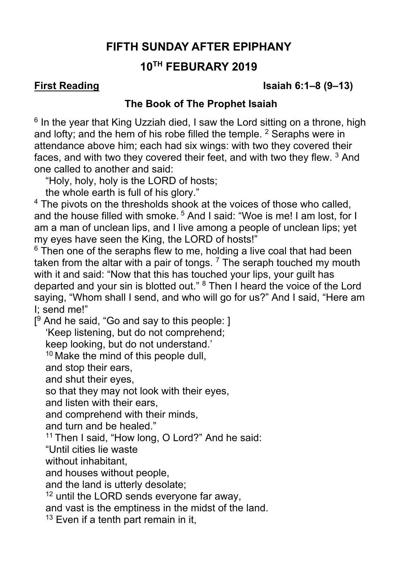# **FIFTH SUNDAY AFTER EPIPHANY**

# **10TH FEBURARY 2019**

**First Reading Isaiah 6:1–8 (9–13)**

### **The Book of The Prophet Isaiah**

 $6$  In the year that King Uzziah died, I saw the Lord sitting on a throne, high and lofty; and the hem of his robe filled the temple.  $2$  Seraphs were in attendance above him; each had six wings: with two they covered their faces, and with two they covered their feet, and with two they flew. <sup>3</sup> And one called to another and said:

"Holy, holy, holy is the LORD of hosts;

the whole earth is full of his glory."

<sup>4</sup> The pivots on the thresholds shook at the voices of those who called, and the house filled with smoke.<sup>5</sup> And I said: "Woe is me! I am lost, for I am a man of unclean lips, and I live among a people of unclean lips; yet my eyes have seen the King, the LORD of hosts!"

 $6$  Then one of the seraphs flew to me, holding a live coal that had been taken from the altar with a pair of tongs.  $<sup>7</sup>$  The seraph touched my mouth</sup> with it and said: "Now that this has touched your lips, your guilt has departed and your sin is blotted out." 8 Then I heard the voice of the Lord saying, "Whom shall I send, and who will go for us?" And I said, "Here am I; send me!"

[<sup>9</sup> And he said, "Go and say to this people: ] 'Keep listening, but do not comprehend; keep looking, but do not understand.'

 $10$  Make the mind of this people dull.

and stop their ears,

and shut their eyes,

so that they may not look with their eyes,

and listen with their ears,

and comprehend with their minds,

and turn and be healed."

11 Then I said, "How long, O Lord?" And he said:

"Until cities lie waste

without inhabitant,

and houses without people,

and the land is utterly desolate;

<sup>12</sup> until the LORD sends everyone far away,

and vast is the emptiness in the midst of the land.

 $13$  Even if a tenth part remain in it.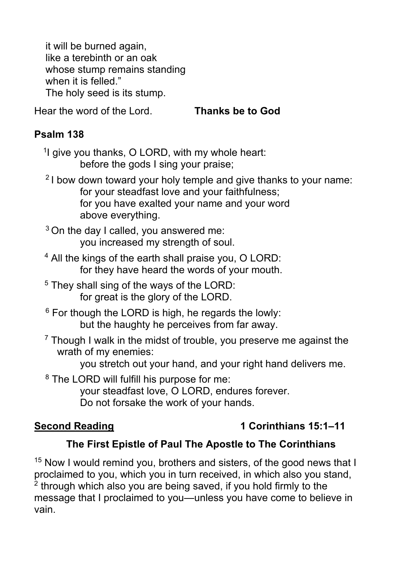it will be burned again, like a terebinth or an oak whose stump remains standing when it is felled." The holy seed is its stump.

Hear the word of the Lord. **Thanks be to God**

### **Psalm 138**

<sup>1</sup>I give you thanks, O LORD, with my whole heart: before the gods I sing your praise;

- 2 I bow down toward your holy temple and give thanks to your name: for your steadfast love and your faithfulness; for you have exalted your name and your word above everything.
- $3$  On the day I called, you answered me: you increased my strength of soul.
- 4 All the kings of the earth shall praise you, O LORD: for they have heard the words of your mouth.
- $5$  They shall sing of the ways of the LORD: for great is the glory of the LORD.
- $6$  For though the LORD is high, he regards the lowly: but the haughty he perceives from far away.
- $7$  Though I walk in the midst of trouble, you preserve me against the wrath of my enemies:

you stretch out your hand, and your right hand delivers me.

<sup>8</sup> The LORD will fulfill his purpose for me: your steadfast love, O LORD, endures forever. Do not forsake the work of your hands.

# **Second Reading 1 Corinthians 15:1–11**

# **The First Epistle of Paul The Apostle to The Corinthians**

<sup>15</sup> Now I would remind you, brothers and sisters, of the good news that I proclaimed to you, which you in turn received, in which also you stand,  $2$  through which also you are being saved, if you hold firmly to the message that I proclaimed to you—unless you have come to believe in vain.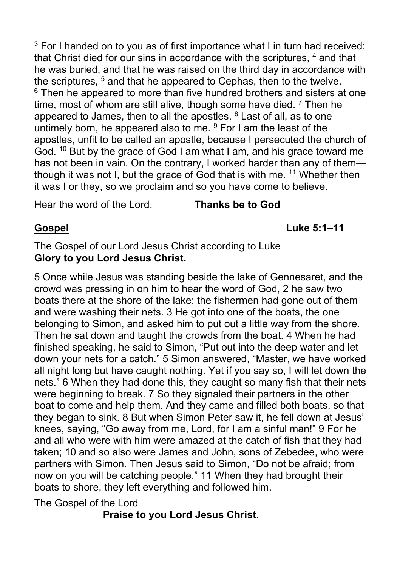<sup>3</sup> For I handed on to you as of first importance what I in turn had received: that Christ died for our sins in accordance with the scriptures, <sup>4</sup> and that he was buried, and that he was raised on the third day in accordance with the scriptures, <sup>5</sup> and that he appeared to Cephas, then to the twelve.  $6$  Then he appeared to more than five hundred brothers and sisters at one time, most of whom are still alive, though some have died.  $7$  Then he appeared to James, then to all the apostles.  $8$  Last of all, as to one untimely born, he appeared also to me.  $9$  For I am the least of the apostles, unfit to be called an apostle, because I persecuted the church of God. <sup>10</sup> But by the grace of God I am what I am, and his grace toward me has not been in vain. On the contrary, I worked harder than any of them though it was not I, but the grace of God that is with me.  $11$  Whether then it was I or they, so we proclaim and so you have come to believe.

Hear the word of the Lord. **Thanks be to God**

**Gospel Luke 5:1–11**

### The Gospel of our Lord Jesus Christ according to Luke **Glory to you Lord Jesus Christ.**

5 Once while Jesus was standing beside the lake of Gennesaret, and the crowd was pressing in on him to hear the word of God, 2 he saw two boats there at the shore of the lake; the fishermen had gone out of them and were washing their nets. 3 He got into one of the boats, the one belonging to Simon, and asked him to put out a little way from the shore. Then he sat down and taught the crowds from the boat. 4 When he had finished speaking, he said to Simon, "Put out into the deep water and let down your nets for a catch." 5 Simon answered, "Master, we have worked all night long but have caught nothing. Yet if you say so, I will let down the nets." 6 When they had done this, they caught so many fish that their nets were beginning to break. 7 So they signaled their partners in the other boat to come and help them. And they came and filled both boats, so that they began to sink. 8 But when Simon Peter saw it, he fell down at Jesus' knees, saying, "Go away from me, Lord, for I am a sinful man!" 9 For he and all who were with him were amazed at the catch of fish that they had taken; 10 and so also were James and John, sons of Zebedee, who were partners with Simon. Then Jesus said to Simon, "Do not be afraid; from now on you will be catching people." 11 When they had brought their boats to shore, they left everything and followed him.

The Gospel of the Lord

## **Praise to you Lord Jesus Christ.**